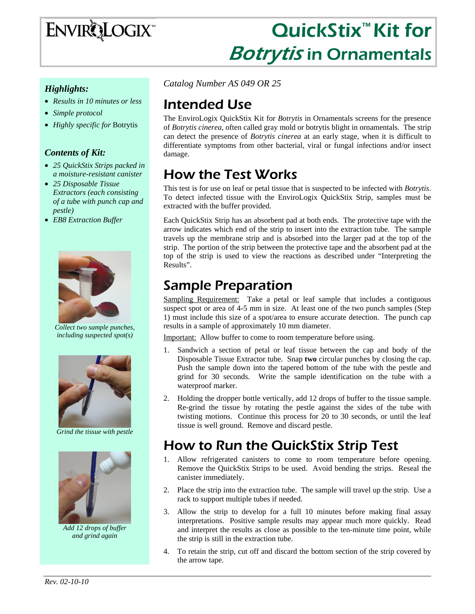

# QuickStix<sup>™</sup> Kit for **Botrytis in Ornamentals**

#### *Highlights:*

- *Results in 10 minutes or less*
- *Simple protocol*
- *Highly specific for* Botrytis

#### *Contents of Kit:*

- *25 QuickStix Strips packed in a moisture-resistant canister*
- *25 Disposable Tissue Extractors (each consisting of a tube with punch cap and pestle)*
- *EB8 Extraction Buffer*



*Collect two sample punches, including suspected spot(s)* 



*Grind the tissue with pestle* 



*Add 12 drops of buffer and grind again* 

*Catalog Number AS 049 OR 25*

## Intended Use

The EnviroLogix QuickStix Kit for *Botrytis* in Ornamentals screens for the presence of *Botrytis cinerea,* often called gray mold or botrytis blight in ornamentals.The strip can detect the presence of *Botrytis cinerea* at an early stage, when it is difficult to differentiate symptoms from other bacterial, viral or fungal infections and/or insect damage.

# How the Test Works

This test is for use on leaf or petal tissue that is suspected to be infected with *Botrytis*. To detect infected tissue with the EnviroLogix QuickStix Strip, samples must be extracted with the buffer provided.

Each QuickStix Strip has an absorbent pad at both ends. The protective tape with the arrow indicates which end of the strip to insert into the extraction tube. The sample travels up the membrane strip and is absorbed into the larger pad at the top of the strip. The portion of the strip between the protective tape and the absorbent pad at the top of the strip is used to view the reactions as described under "Interpreting the Results".

## Sample Preparation

Sampling Requirement: Take a petal or leaf sample that includes a contiguous suspect spot or area of 4-5 mm in size. At least one of the two punch samples (Step 1) must include this size of a spot/area to ensure accurate detection. The punch cap results in a sample of approximately 10 mm diameter.

Important: Allow buffer to come to room temperature before using.

- Sandwich a section of petal or leaf tissue between the cap and body of the Disposable Tissue Extractor tube. Snap **two** circular punches by closing the cap. Push the sample down into the tapered bottom of the tube with the pestle and grind for 30 seconds. Write the sample identification on the tube with a waterproof marker.
- 2. Holding the dropper bottle vertically, add 12 drops of buffer to the tissue sample. Re-grind the tissue by rotating the pestle against the sides of the tube with twisting motions. Continue this process for 20 to 30 seconds, or until the leaf tissue is well ground. Remove and discard pestle.

## How to Run the QuickStix Strip Test

- 1. Allow refrigerated canisters to come to room temperature before opening. Remove the QuickStix Strips to be used. Avoid bending the strips. Reseal the canister immediately.
- 2. Place the strip into the extraction tube. The sample will travel up the strip. Use a rack to support multiple tubes if needed.
- 3. Allow the strip to develop for a full 10 minutes before making final assay interpretations. Positive sample results may appear much more quickly. Read and interpret the results as close as possible to the ten-minute time point, while the strip is still in the extraction tube.
- 4. To retain the strip, cut off and discard the bottom section of the strip covered by the arrow tape.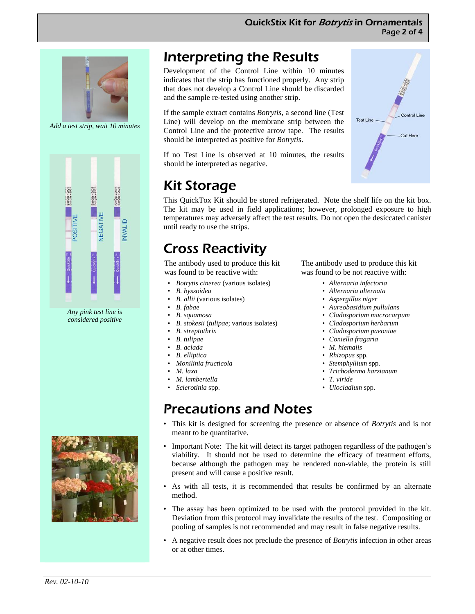

*Add a test strip, wait 10 minutes* 



*Any pink test line is considered positive* 



Development of the Control Line within 10 minutes indicates that the strip has functioned properly. Any strip that does not develop a Control Line should be discarded and the sample re-tested using another strip.

If the sample extract contains *Botrytis*, a second line (Test Line) will develop on the membrane strip between the Control Line and the protective arrow tape. The results should be interpreted as positive for *Botrytis*.

If no Test Line is observed at 10 minutes, the results should be interpreted as negative.

# Kit Storage

This QuickTox Kit should be stored refrigerated. Note the shelf life on the kit box. The kit may be used in field applications; however, prolonged exposure to high temperatures may adversely affect the test results. Do not open the desiccated canister until ready to use the strips.

# Cross Reactivity

The antibody used to produce this kit was found to be reactive with:

- *Botrytis cinerea* (various isolates)
- *B. byssoidea*
- *B. allii* (various isolates)
- *B. fabae*
- *B. squamosa*
- *B. stokesii* (*tulipae*; various isolates)
- *B. streptothrix*
- *B. tulipae*
- *B. aclada*
- *B. elliptica*
- *Monilinia fructicola*
- *M. laxa*
- *M. lambertella*
- *Sclerotinia* spp.

The antibody used to produce this kit was found to be not reactive with:

- *Alternaria infectoria*
- *Alternaria alternata*
- *Aspergillus niger*
- *Aureobasidium pullulans*
- *Cladosporium macrocarpum*
- *Cladosporium herbarum*
- *Cladosporium paeoniae*
- *Coniella fragaria*
- *M. hiemalis*
- *Rhizopus* spp.
- *Stemphyllium* spp.
- *Trichoderma harzianum*
- *T. viride*
- *Ulocladium* spp.

# Precautions and Notes

- This kit is designed for screening the presence or absence of *Botrytis* and is not meant to be quantitative.
- Important Note: The kit will detect its target pathogen regardless of the pathogen's viability. It should not be used to determine the efficacy of treatment efforts, because although the pathogen may be rendered non-viable, the protein is still present and will cause a positive result.
- As with all tests, it is recommended that results be confirmed by an alternate method.
- The assay has been optimized to be used with the protocol provided in the kit. Deviation from this protocol may invalidate the results of the test. Compositing or pooling of samples is not recommended and may result in false negative results.
- A negative result does not preclude the presence of *Botrytis* infection in other areas or at other times.





- 
- 
- 
- 
-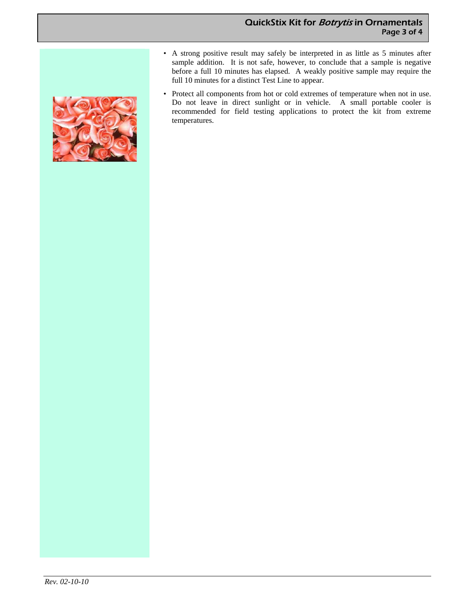

- A strong positive result may safely be interpreted in as little as 5 minutes after sample addition. It is not safe, however, to conclude that a sample is negative before a full 10 minutes has elapsed. A weakly positive sample may require the full 10 minutes for a distinct Test Line to appear.
- Protect all components from hot or cold extremes of temperature when not in use. Do not leave in direct sunlight or in vehicle. A small portable cooler is recommended for field testing applications to protect the kit from extreme temperatures.